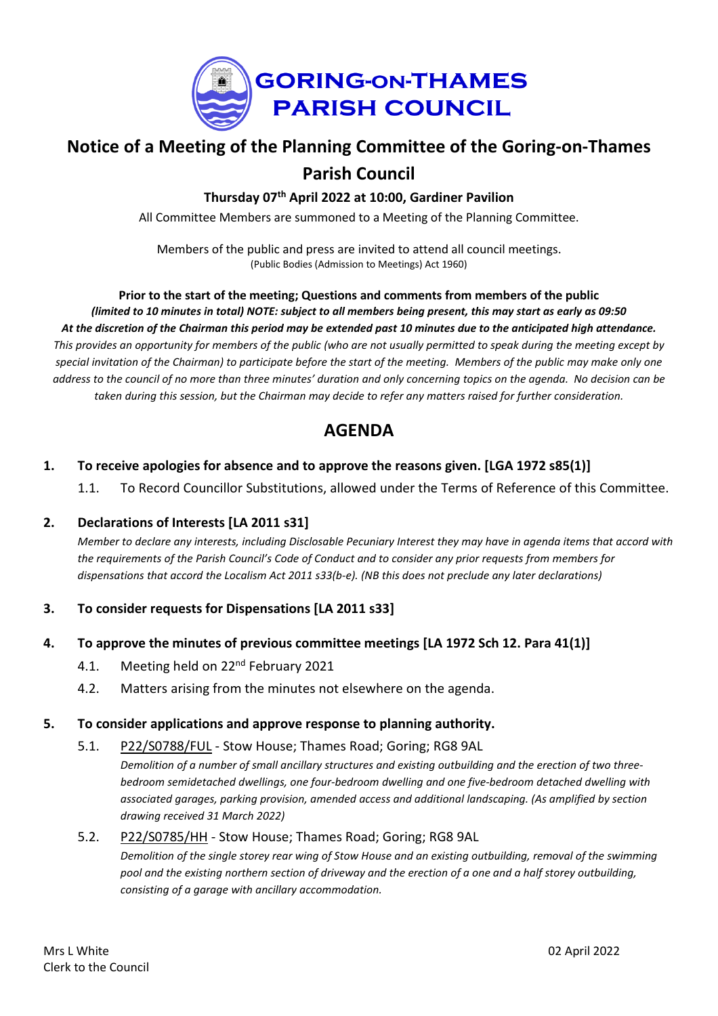

# **Notice of a Meeting of the Planning Committee of the Goring-on-Thames Parish Council**

**Thursday 07th April 2022 at 10:00, Gardiner Pavilion**

All Committee Members are summoned to a Meeting of the Planning Committee.

Members of the public and press are invited to attend all council meetings. (Public Bodies (Admission to Meetings) Act 1960)

### **Prior to the start of the meeting; Questions and comments from members of the public** (limited to 10 minutes in total) NOTE: subject to all members being present, this may start as early as 09:50 At the discretion of the Chairman this period may be extended past 10 minutes due to the anticipated high attendance. This provides an opportunity for members of the public (who are not usually permitted to speak during the meeting except by special invitation of the Chairman) to participate before the start of the meeting. Members of the public may make only one address to the council of no more than three minutes' duration and only concerning topics on the agenda. No decision can be taken during this session, but the Chairman may decide to refer any matters raised for further consideration.

## **AGENDA**

### **1. To receive apologies for absence and to approve the reasons given. [LGA 1972 s85(1)]**

1.1. To Record Councillor Substitutions, allowed under the Terms of Reference of this Committee.

### **2. Declarations of Interests [LA 2011 s31]**

Member to declare any interests, including Disclosable Pecuniary Interest they may have in agenda items that accord with the requirements of the Parish Council's Code of Conduct and to consider any prior requests from members for *dispensations that accord the Localism Act 2011 s33(b-e). (NB this does not preclude any later declarations)*

### **3. To consider requests for Dispensations [LA 2011 s33]**

### **4. To approve the minutes of previous committee meetings [LA 1972 Sch 12. Para 41(1)]**

- 4.1. Meeting held on 22<sup>nd</sup> February 2021
- 4.2. Matters arising from the minutes not elsewhere on the agenda.

### **5. To consider applications and approve response to planning authority.**

5.1. [P22/S0788/FUL](https://data.southoxon.gov.uk/ccm/support/Main.jsp?MODULE=ApplicationDetails&REF=P22/S0788/FUL) - Stow House; Thames Road; Goring; RG8 9AL

Demolition of a number of small ancillary structures and existing outbuilding and the erection of two three*bedroom semidetached dwellings, one four-bedroom dwelling and one five-bedroom detached dwelling with associated garages, parking provision, amended access and additional landscaping. (As amplified by section drawing received 31 March 2022)*

### 5.2. [P22/S0785/HH](https://data.southoxon.gov.uk/ccm/support/Main.jsp?MODULE=ApplicationDetails&REF=P22/S0785/HH) - Stow House; Thames Road; Goring; RG8 9AL

Demolition of the single storey rear wing of Stow House and an existing outbuilding, removal of the swimming pool and the existing northern section of driveway and the erection of a one and a half storey outbuilding, *consisting of a garage with ancillary accommodation.*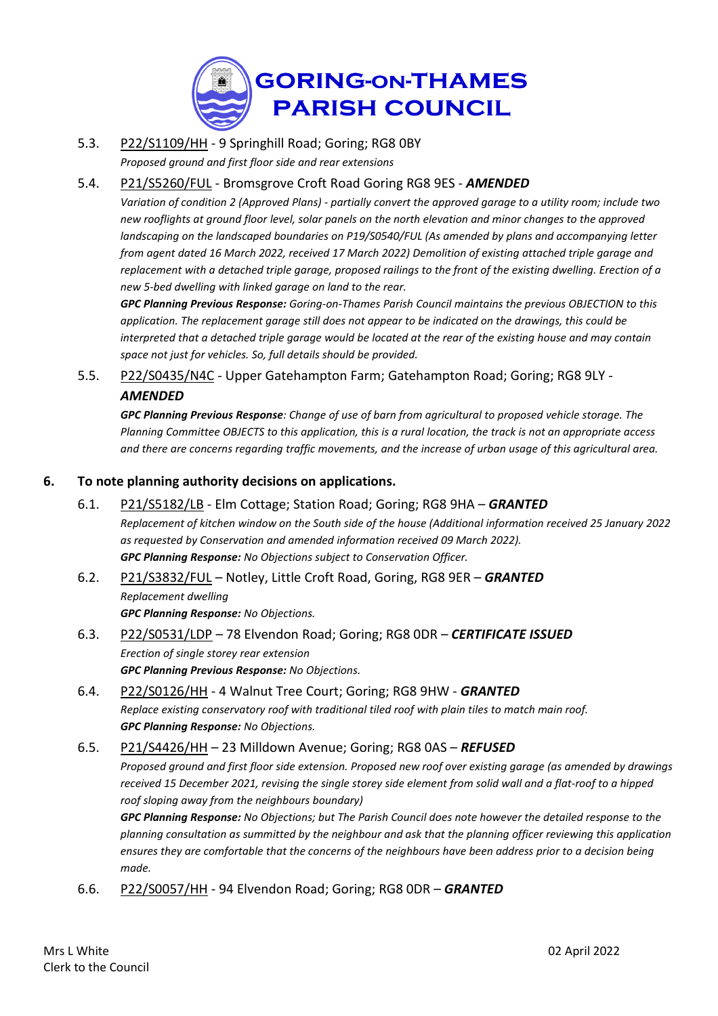

5.3. [P22/S1109/HH](https://data.southoxon.gov.uk/ccm/support/Main.jsp?MODULE=ApplicationDetails&REF=P22/S1109/HH) - 9 Springhill Road; Goring; RG8 0BY *Proposed ground and first floor side and rear extensions*

### 5.4. [P21/S5260/FUL](https://data.southoxon.gov.uk/ccm/support/Main.jsp?MODULE=ApplicationDetails&REF=P21/S5260/FUL) - Bromsgrove Croft Road Goring RG8 9ES - *AMENDED*

Variation of condition 2 (Approved Plans) - partially convert the approved garage to a utility room; include two new rooflights at ground floor level, solar panels on the north elevation and minor changes to the approved *landscaping on the landscaped boundaries on P19/S0540/FUL (As amended by plans and accompanying letter from agent dated 16 March 2022, received 17 March 2022) Demolition of existing attached triple garage and* replacement with a detached triple garage, proposed railings to the front of the existing dwelling. Erection of a *new 5-bed dwelling with linked garage on land to the rear.*

*GPC Planning Previous Response: Goring-on-Thames Parish Council maintains the previous OBJECTION to this application. The replacement garage still does not appear to be indicated on the drawings, this could be* interpreted that a detached triple garage would be located at the rear of the existing house and may contain *space not just for vehicles. So, full details should be provided.*

### 5.5. [P22/S0435/N4C](https://data.southoxon.gov.uk/ccm/support/Main.jsp?MODULE=ApplicationDetails&REF=P22/S0435/N4C) - Upper Gatehampton Farm; Gatehampton Road; Goring; RG8 9LY -

### *AMENDED*

*GPC Planning Previous Response: Change of use of barn from agricultural to proposed vehicle storage. The* Planning Committee OBJECTS to this application, this is a rural location, the track is not an appropriate access and there are concerns regarding traffic movements, and the increase of urban usage of this agricultural area.

### **6. To note planning authority decisions on applications.**

- 6.1. [P21/S5182/LB](https://data.southoxon.gov.uk/ccm/support/Main.jsp?MODULE=ApplicationDetails&REF=P21/S5182/LB) Elm Cottage; Station Road; Goring; RG8 9HA *GRANTED* Replacement of kitchen window on the South side of the house (Additional information received 25 January 2022 *as requested by Conservation and amended information received 09 March 2022). GPC Planning Response: No Objections subject to Conservation Officer.*
- 6.2. [P21/S3832/FUL](https://data.southoxon.gov.uk/ccm/support/Main.jsp?MODULE=ApplicationDetails&REF=P21/S3832/FUL) Notley, Little Croft Road, Goring, RG8 9ER *GRANTED Replacement dwelling*

*GPC Planning Response: No Objections.*

- 6.3. [P22/S0531/LDP](https://data.southoxon.gov.uk/ccm/support/Main.jsp?MODULE=ApplicationDetails&REF=P22/S0531/LDP) 78 Elvendon Road; Goring; RG8 0DR *CERTIFICATE ISSUED Erection of single storey rear extension GPC Planning Previous Response: No Objections.*
- 6.4. [P22/S0126/HH](https://data.southoxon.gov.uk/ccm/support/Main.jsp?MODULE=ApplicationDetails&REF=P22/S0126/HH) 4 Walnut Tree Court; Goring; RG8 9HW *GRANTED Replace existing conservatory roof with traditional tiled roof with plain tiles to match main roof. GPC Planning Response: No Objections.*

### 6.5. [P21/S4426/HH](https://data.southoxon.gov.uk/ccm/support/Main.jsp?MODULE=ApplicationDetails&REF=P21/S4426/HH) – 23 Milldown Avenue; Goring; RG8 0AS – *REFUSED*

Proposed ground and first floor side extension. Proposed new roof over existing garage (as amended by drawings received 15 December 2021, revising the single storey side element from solid wall and a flat-roof to a hipped *roof sloping away from the neighbours boundary)*

GPC Planning Response: No Objections; but The Parish Council does note however the detailed response to the *planning consultation as summitted by the neighbour and ask that the planning officer reviewing this application* ensures they are comfortable that the concerns of the neighbours have been address prior to a decision being *made.*

6.6. [P22/S0057/HH](https://data.southoxon.gov.uk/ccm/support/Main.jsp?MODULE=ApplicationDetails&REF=P22/S0057/HH) - 94 Elvendon Road; Goring; RG8 0DR – *GRANTED*